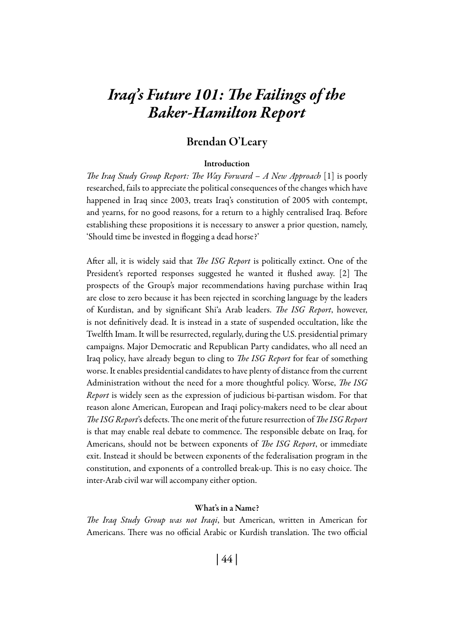# *Iraq's Future 101: The Failings of the Baker-Hamilton Report*

## Brendan O'Leary

#### Introduction

*The Iraq Study Group Report: The Way Forward – A New Approach* [1] is poorly researched, fails to appreciate the political consequences of the changes which have happened in Iraq since 2003, treats Iraq's constitution of 2005 with contempt, and yearns, for no good reasons, for a return to a highly centralised Iraq. Before establishing these propositions it is necessary to answer a prior question, namely, 'Should time be invested in flogging a dead horse?'

After all, it is widely said that *The ISG Report* is politically extinct. One of the President's reported responses suggested he wanted it flushed away. [2] The prospects of the Group's major recommendations having purchase within Iraq are close to zero because it has been rejected in scorching language by the leaders of Kurdistan, and by significant Shi'a Arab leaders. *The ISG Report*, however, is not definitively dead. It is instead in a state of suspended occultation, like the Twelfth Imam. It will be resurrected, regularly, during the U.S. presidential primary campaigns. Major Democratic and Republican Party candidates, who all need an Iraq policy, have already begun to cling to *The ISG Report* for fear of something worse. It enables presidential candidates to have plenty of distance from the current Administration without the need for a more thoughtful policy. Worse, *The ISG Report* is widely seen as the expression of judicious bi-partisan wisdom. For that reason alone American, European and Iraqi policy-makers need to be clear about *The ISG Report*'s defects. The one merit of the future resurrection of *The ISG Report* is that may enable real debate to commence. The responsible debate on Iraq, for Americans, should not be between exponents of *The ISG Report*, or immediate exit. Instead it should be between exponents of the federalisation program in the constitution, and exponents of a controlled break-up. This is no easy choice. The inter-Arab civil war will accompany either option.

#### What's in a Name?

*The Iraq Study Group was not Iraqi*, but American, written in American for Americans. There was no official Arabic or Kurdish translation. The two official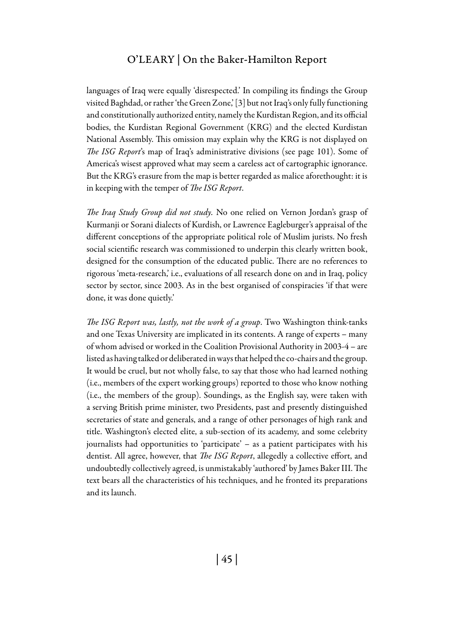languages of Iraq were equally 'disrespected.' In compiling its findings the Group visited Baghdad, or rather 'the Green Zone,' [3] but not Iraq's only fully functioning and constitutionally authorized entity, namely the Kurdistan Region, and its official bodies, the Kurdistan Regional Government (KRG) and the elected Kurdistan National Assembly. This omission may explain why the KRG is not displayed on *The ISG Report*'s map of Iraq's administrative divisions (see page 101). Some of America's wisest approved what may seem a careless act of cartographic ignorance. But the KRG's erasure from the map is better regarded as malice aforethought: it is in keeping with the temper of *The ISG Report*.

*The Iraq Study Group did not study.* No one relied on Vernon Jordan's grasp of Kurmanji or Sorani dialects of Kurdish, or Lawrence Eagleburger's appraisal of the different conceptions of the appropriate political role of Muslim jurists. No fresh social scientific research was commissioned to underpin this clearly written book, designed for the consumption of the educated public. There are no references to rigorous 'meta-research,' i.e., evaluations of all research done on and in Iraq, policy sector by sector, since 2003. As in the best organised of conspiracies 'if that were done, it was done quietly.'

*The ISG Report was, lastly, not the work of a group*. Two Washington think-tanks and one Texas University are implicated in its contents. A range of experts – many of whom advised or worked in the Coalition Provisional Authority in 2003-4 – are listed as having talked or deliberated in ways that helped the co-chairs and the group. It would be cruel, but not wholly false, to say that those who had learned nothing (i.e., members of the expert working groups) reported to those who know nothing (i.e., the members of the group). Soundings, as the English say, were taken with a serving British prime minister, two Presidents, past and presently distinguished secretaries of state and generals, and a range of other personages of high rank and title. Washington's elected elite, a sub-section of its academy, and some celebrity journalists had opportunities to 'participate' – as a patient participates with his dentist. All agree, however, that *The ISG Report*, allegedly a collective effort, and undoubtedly collectively agreed, is unmistakably 'authored' by James Baker III. The text bears all the characteristics of his techniques, and he fronted its preparations and its launch.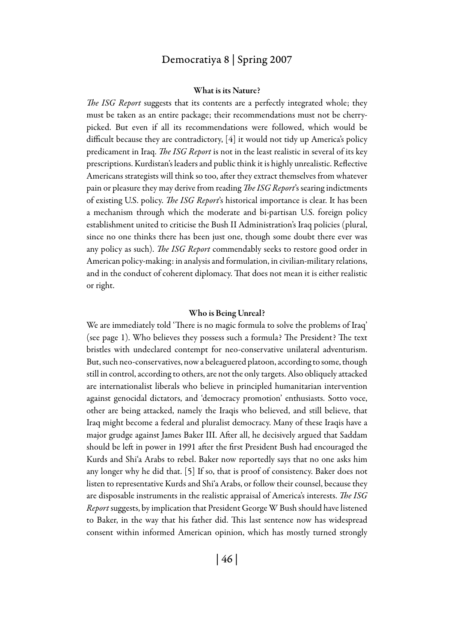#### What is its Nature?

*The ISG Report* suggests that its contents are a perfectly integrated whole; they must be taken as an entire package; their recommendations must not be cherrypicked. But even if all its recommendations were followed, which would be difficult because they are contradictory, [4] it would not tidy up America's policy predicament in Iraq. *The ISG Report* is not in the least realistic in several of its key prescriptions. Kurdistan's leaders and public think it is highly unrealistic. Reflective Americans strategists will think so too, after they extract themselves from whatever pain or pleasure they may derive from reading *The ISG Report*'s searing indictments of existing U.S. policy. *The ISG Report*'s historical importance is clear. It has been a mechanism through which the moderate and bi-partisan U.S. foreign policy establishment united to criticise the Bush II Administration's Iraq policies (plural, since no one thinks there has been just one, though some doubt there ever was any policy as such). *The ISG Report* commendably seeks to restore good order in American policy-making: in analysis and formulation, in civilian-military relations, and in the conduct of coherent diplomacy. That does not mean it is either realistic or right.

#### Who is Being Unreal?

We are immediately told 'There is no magic formula to solve the problems of Iraq' (see page 1). Who believes they possess such a formula? The President? The text bristles with undeclared contempt for neo-conservative unilateral adventurism. But, such neo-conservatives, now a beleaguered platoon, according to some, though still in control, according to others, are not the only targets. Also obliquely attacked are internationalist liberals who believe in principled humanitarian intervention against genocidal dictators, and 'democracy promotion' enthusiasts. Sotto voce, other are being attacked, namely the Iraqis who believed, and still believe, that Iraq might become a federal and pluralist democracy. Many of these Iraqis have a major grudge against James Baker III. After all, he decisively argued that Saddam should be left in power in 1991 after the first President Bush had encouraged the Kurds and Shi'a Arabs to rebel. Baker now reportedly says that no one asks him any longer why he did that. [5] If so, that is proof of consistency. Baker does not listen to representative Kurds and Shi'a Arabs, or follow their counsel, because they are disposable instruments in the realistic appraisal of America's interests. *The ISG Report* suggests, by implication that President George W Bush should have listened to Baker, in the way that his father did. This last sentence now has widespread consent within informed American opinion, which has mostly turned strongly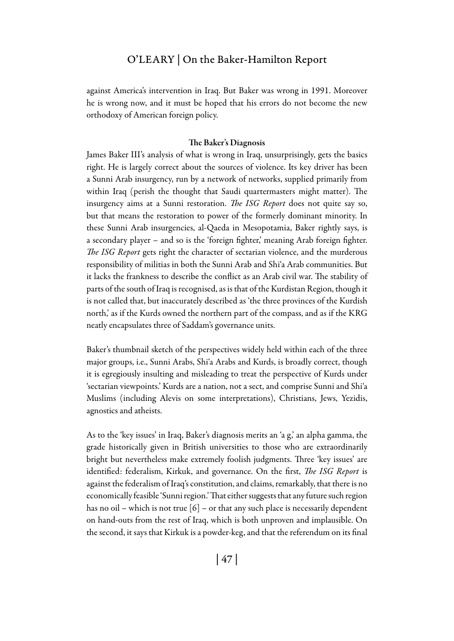against America's intervention in Iraq. But Baker was wrong in 1991. Moreover he is wrong now, and it must be hoped that his errors do not become the new orthodoxy of American foreign policy.

#### The Baker's Diagnosis

James Baker III's analysis of what is wrong in Iraq, unsurprisingly, gets the basics right. He is largely correct about the sources of violence. Its key driver has been a Sunni Arab insurgency, run by a network of networks, supplied primarily from within Iraq (perish the thought that Saudi quartermasters might matter). The insurgency aims at a Sunni restoration. *The ISG Report* does not quite say so, but that means the restoration to power of the formerly dominant minority. In these Sunni Arab insurgencies, al-Qaeda in Mesopotamia, Baker rightly says, is a secondary player – and so is the 'foreign fighter,' meaning Arab foreign fighter. *The ISG Report* gets right the character of sectarian violence, and the murderous responsibility of militias in both the Sunni Arab and Shi'a Arab communities. But it lacks the frankness to describe the conflict as an Arab civil war. The stability of parts of the south of Iraq is recognised, as is that of the Kurdistan Region, though it is not called that, but inaccurately described as 'the three provinces of the Kurdish north,' as if the Kurds owned the northern part of the compass, and as if the KRG neatly encapsulates three of Saddam's governance units.

Baker's thumbnail sketch of the perspectives widely held within each of the three major groups, i.e., Sunni Arabs, Shi'a Arabs and Kurds, is broadly correct, though it is egregiously insulting and misleading to treat the perspective of Kurds under 'sectarian viewpoints.' Kurds are a nation, not a sect, and comprise Sunni and Shi'a Muslims (including Alevis on some interpretations), Christians, Jews, Yezidis, agnostics and atheists.

As to the 'key issues' in Iraq, Baker's diagnosis merits an 'a g,' an alpha gamma, the grade historically given in British universities to those who are extraordinarily bright but nevertheless make extremely foolish judgments. Three 'key issues' are identified: federalism, Kirkuk, and governance. On the first, *The ISG Report* is against the federalism of Iraq's constitution, and claims, remarkably, that there is no economically feasible 'Sunni region.' That either suggests that any future such region has no oil – which is not true  $[6]$  – or that any such place is necessarily dependent on hand-outs from the rest of Iraq, which is both unproven and implausible. On the second, it says that Kirkuk is a powder-keg, and that the referendum on its final

| 47 |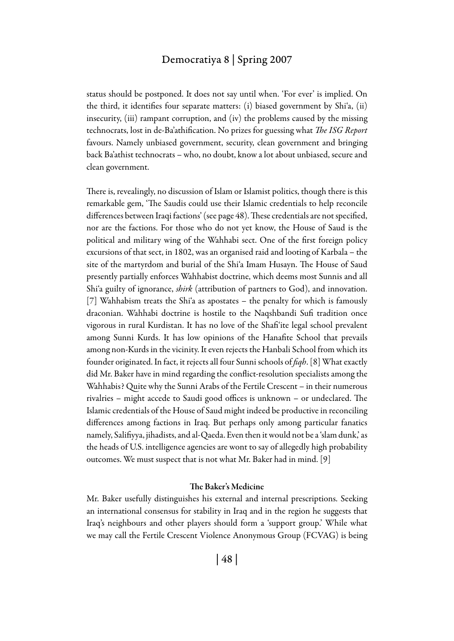status should be postponed. It does not say until when. 'For ever' is implied. On the third, it identifies four separate matters: (i) biased government by Shi'a, (ii) insecurity, (iii) rampant corruption, and (iv) the problems caused by the missing technocrats, lost in de-Ba'athification. No prizes for guessing what *The ISG Report* favours. Namely unbiased government, security, clean government and bringing back Ba'athist technocrats – who, no doubt, know a lot about unbiased, secure and clean government.

There is, revealingly, no discussion of Islam or Islamist politics, though there is this remarkable gem, 'The Saudis could use their Islamic credentials to help reconcile differences between Iraqi factions' (see page 48). These credentials are not specified, nor are the factions. For those who do not yet know, the House of Saud is the political and military wing of the Wahhabi sect. One of the first foreign policy excursions of that sect, in 1802, was an organised raid and looting of Karbala – the site of the martyrdom and burial of the Shi'a Imam Husayn. The House of Saud presently partially enforces Wahhabist doctrine, which deems most Sunnis and all Shi'a guilty of ignorance, *shirk* (attribution of partners to God), and innovation. [7] Wahhabism treats the Shi'a as apostates – the penalty for which is famously draconian. Wahhabi doctrine is hostile to the Naqshbandi Sufi tradition once vigorous in rural Kurdistan. It has no love of the Shafi'ite legal school prevalent among Sunni Kurds. It has low opinions of the Hanafite School that prevails among non-Kurds in the vicinity. It even rejects the Hanbali School from which its founder originated. In fact, it rejects all four Sunni schools of *fiqh*. [8] What exactly did Mr. Baker have in mind regarding the conflict-resolution specialists among the Wahhabis? Quite why the Sunni Arabs of the Fertile Crescent – in their numerous rivalries – might accede to Saudi good offices is unknown – or undeclared. The Islamic credentials of the House of Saud might indeed be productive in reconciling differences among factions in Iraq. But perhaps only among particular fanatics namely, Salifiyya, jihadists, and al-Qaeda. Even then it would not be a 'slam dunk,' as the heads of U.S. intelligence agencies are wont to say of allegedly high probability outcomes. We must suspect that is not what Mr. Baker had in mind. [9]

#### The Baker's Medicine

Mr. Baker usefully distinguishes his external and internal prescriptions. Seeking an international consensus for stability in Iraq and in the region he suggests that Iraq's neighbours and other players should form a 'support group.' While what we may call the Fertile Crescent Violence Anonymous Group (FCVAG) is being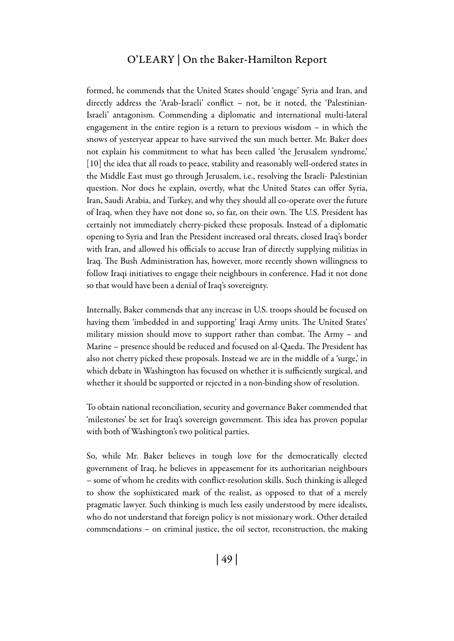### O'Leary | On the Baker-Hamilton Report

formed, he commends that the United States should 'engage' Syria and Iran, and directly address the 'Arab-Israeli' conflict – not, be it noted, the 'Palestinian-Israeli' antagonism. Commending a diplomatic and international multi-lateral engagement in the entire region is a return to previous wisdom – in which the snows of yesteryear appear to have survived the sun much better. Mr. Baker does not explain his commitment to what has been called 'the Jerusalem syndrome,' [10] the idea that all roads to peace, stability and reasonably well-ordered states in the Middle East must go through Jerusalem, i.e., resolving the Israeli- Palestinian question. Nor does he explain, overtly, what the United States can offer Syria, Iran, Saudi Arabia, and Turkey, and why they should all co-operate over the future of Iraq, when they have not done so, so far, on their own. The U.S. President has certainly not immediately cherry-picked these proposals. Instead of a diplomatic opening to Syria and Iran the President increased oral threats, closed Iraq's border with Iran, and allowed his officials to accuse Iran of directly supplying militias in Iraq. The Bush Administration has, however, more recently shown willingness to follow Iraqi initiatives to engage their neighbours in conference. Had it not done so that would have been a denial of Iraq's sovereignty.

Internally, Baker commends that any increase in U.S. troops should be focused on having them 'imbedded in and supporting' Iraqi Army units. The United States' military mission should move to support rather than combat. The Army – and Marine – presence should be reduced and focused on al-Qaeda. The President has also not cherry picked these proposals. Instead we are in the middle of a 'surge,' in which debate in Washington has focused on whether it is sufficiently surgical, and whether it should be supported or rejected in a non-binding show of resolution.

To obtain national reconciliation, security and governance Baker commended that 'milestones' be set for Iraq's sovereign government. This idea has proven popular with both of Washington's two political parties.

So, while Mr. Baker believes in tough love for the democratically elected government of Iraq, he believes in appeasement for its authoritarian neighbours – some of whom he credits with conflict-resolution skills. Such thinking is alleged to show the sophisticated mark of the realist, as opposed to that of a merely pragmatic lawyer. Such thinking is much less easily understood by mere idealists, who do not understand that foreign policy is not missionary work. Other detailed commendations – on criminal justice, the oil sector, reconstruction, the making

| 49 |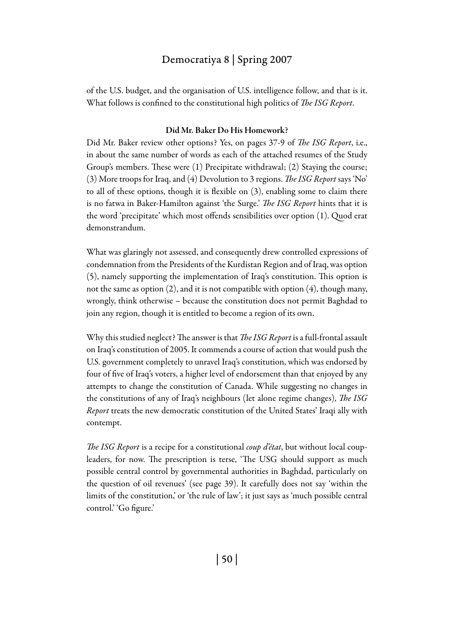of the U.S. budget, and the organisation of U.S. intelligence follow, and that is it. What follows is confined to the constitutional high politics of *The ISG Report*.

#### Did Mr. Baker Do His Homework?

Did Mr. Baker review other options? Yes, on pages 37-9 of *The ISG Report*, i.e., in about the same number of words as each of the attached resumes of the Study Group's members. These were (1) Precipitate withdrawal; (2) Staying the course; (3) More troops for Iraq, and (4) Devolution to 3 regions. *The ISG Report* says 'No' to all of these options, though it is flexible on (3), enabling some to claim there is no fatwa in Baker-Hamilton against 'the Surge.' *The ISG Report* hints that it is the word 'precipitate' which most offends sensibilities over option (1). Quod erat demonstrandum.

What was glaringly not assessed, and consequently drew controlled expressions of condemnation from the Presidents of the Kurdistan Region and of Iraq, was option (5), namely supporting the implementation of Iraq's constitution. This option is not the same as option (2), and it is not compatible with option (4), though many, wrongly, think otherwise – because the constitution does not permit Baghdad to join any region, though it is entitled to become a region of its own.

Why this studied neglect? The answer is that *The ISG Report* is a full-frontal assault on Iraq's constitution of 2005. It commends a course of action that would push the U.S. government completely to unravel Iraq's constitution, which was endorsed by four of five of Iraq's voters, a higher level of endorsement than that enjoyed by any attempts to change the constitution of Canada. While suggesting no changes in the constitutions of any of Iraq's neighbours (let alone regime changes), *The ISG Report* treats the new democratic constitution of the United States' Iraqi ally with contempt.

*The ISG Report* is a recipe for a constitutional *coup d'état*, but without local coupleaders, for now. The prescription is terse, 'The USG should support as much possible central control by governmental authorities in Baghdad, particularly on the question of oil revenues' (see page 39). It carefully does not say 'within the limits of the constitution,' or 'the rule of law'; it just says as 'much possible central control.' 'Go figure.'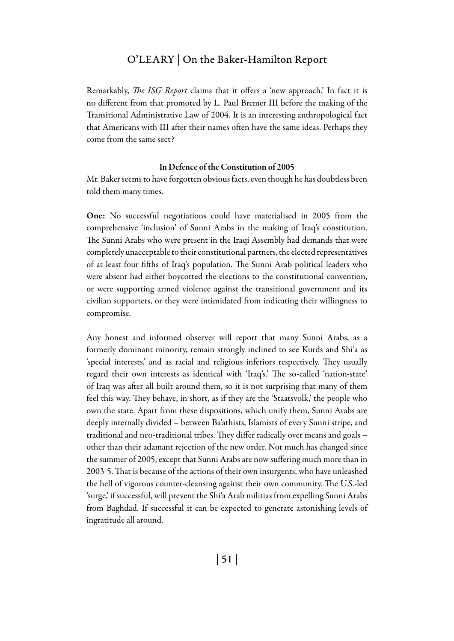Remarkably, *The ISG Report* claims that it offers a 'new approach.' In fact it is no different from that promoted by L. Paul Bremer III before the making of the Transitional Administrative Law of 2004. It is an interesting anthropological fact that Americans with III after their names often have the same ideas. Perhaps they come from the same sect?

#### In Defence of the Constitution of 2005

Mr. Baker seems to have forgotten obvious facts, even though he has doubtless been told them many times.

One: No successful negotiations could have materialised in 2005 from the comprehensive 'inclusion' of Sunni Arabs in the making of Iraq's constitution. The Sunni Arabs who were present in the Iraqi Assembly had demands that were completely unacceptable to their constitutional partners, the elected representatives of at least four fifths of Iraq's population. The Sunni Arab political leaders who were absent had either boycotted the elections to the constitutional convention, or were supporting armed violence against the transitional government and its civilian supporters, or they were intimidated from indicating their willingness to compromise.

Any honest and informed observer will report that many Sunni Arabs, as a formerly dominant minority, remain strongly inclined to see Kurds and Shi'a as 'special interests,' and as racial and religious inferiors respectively. They usually regard their own interests as identical with 'Iraq's.' The so-called 'nation-state' of Iraq was after all built around them, so it is not surprising that many of them feel this way. They behave, in short, as if they are the 'Staatsvolk,' the people who own the state. Apart from these dispositions, which unify them, Sunni Arabs are deeply internally divided – between Ba'athists, Islamists of every Sunni stripe, and traditional and neo-traditional tribes. They differ radically over means and goals – other than their adamant rejection of the new order. Not much has changed since the summer of 2005, except that Sunni Arabs are now suffering much more than in 2003-5. That is because of the actions of their own insurgents, who have unleashed the hell of vigorous counter-cleansing against their own community. The U.S.-led 'surge,' if successful, will prevent the Shi'a Arab militias from expelling Sunni Arabs from Baghdad. If successful it can be expected to generate astonishing levels of ingratitude all around.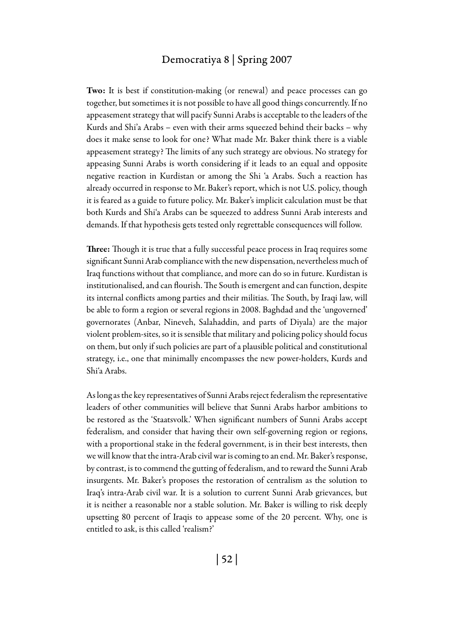Two: It is best if constitution-making (or renewal) and peace processes can go together, but sometimes it is not possible to have all good things concurrently. If no appeasement strategy that will pacify Sunni Arabs is acceptable to the leaders of the Kurds and Shi'a Arabs – even with their arms squeezed behind their backs – why does it make sense to look for one? What made Mr. Baker think there is a viable appeasement strategy? The limits of any such strategy are obvious. No strategy for appeasing Sunni Arabs is worth considering if it leads to an equal and opposite negative reaction in Kurdistan or among the Shi 'a Arabs. Such a reaction has already occurred in response to Mr. Baker's report, which is not U.S. policy, though it is feared as a guide to future policy. Mr. Baker's implicit calculation must be that both Kurds and Shi'a Arabs can be squeezed to address Sunni Arab interests and demands. If that hypothesis gets tested only regrettable consequences will follow.

Three: Though it is true that a fully successful peace process in Iraq requires some significant Sunni Arab compliance with the new dispensation, nevertheless much of Iraq functions without that compliance, and more can do so in future. Kurdistan is institutionalised, and can flourish. The South is emergent and can function, despite its internal conflicts among parties and their militias. The South, by Iraqi law, will be able to form a region or several regions in 2008. Baghdad and the 'ungoverned' governorates (Anbar, Nineveh, Salahaddin, and parts of Diyala) are the major violent problem-sites, so it is sensible that military and policing policy should focus on them, but only if such policies are part of a plausible political and constitutional strategy, i.e., one that minimally encompasses the new power-holders, Kurds and Shi'a Arabs.

As long as the key representatives of Sunni Arabs reject federalism the representative leaders of other communities will believe that Sunni Arabs harbor ambitions to be restored as the 'Staatsvolk.' When significant numbers of Sunni Arabs accept federalism, and consider that having their own self-governing region or regions, with a proportional stake in the federal government, is in their best interests, then we will know that the intra-Arab civil war is coming to an end. Mr. Baker's response, by contrast, is to commend the gutting of federalism, and to reward the Sunni Arab insurgents. Mr. Baker's proposes the restoration of centralism as the solution to Iraq's intra-Arab civil war. It is a solution to current Sunni Arab grievances, but it is neither a reasonable nor a stable solution. Mr. Baker is willing to risk deeply upsetting 80 percent of Iraqis to appease some of the 20 percent. Why, one is entitled to ask, is this called 'realism?'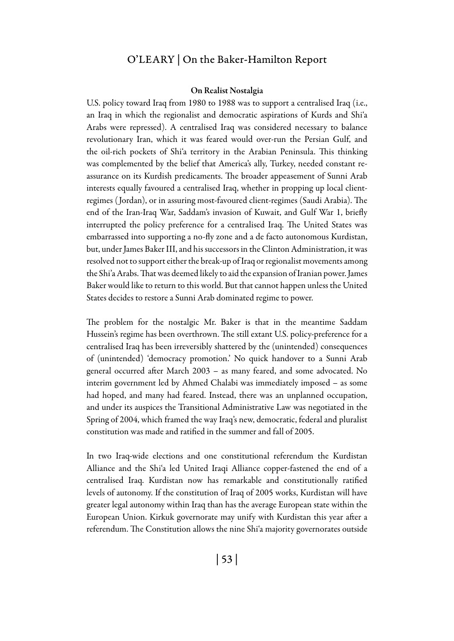#### On Realist Nostalgia

U.S. policy toward Iraq from 1980 to 1988 was to support a centralised Iraq (i.e., an Iraq in which the regionalist and democratic aspirations of Kurds and Shi'a Arabs were repressed). A centralised Iraq was considered necessary to balance revolutionary Iran, which it was feared would over-run the Persian Gulf, and the oil-rich pockets of Shi'a territory in the Arabian Peninsula. This thinking was complemented by the belief that America's ally, Turkey, needed constant reassurance on its Kurdish predicaments. The broader appeasement of Sunni Arab interests equally favoured a centralised Iraq, whether in propping up local clientregimes ( Jordan), or in assuring most-favoured client-regimes (Saudi Arabia). The end of the Iran-Iraq War, Saddam's invasion of Kuwait, and Gulf War 1, briefly interrupted the policy preference for a centralised Iraq. The United States was embarrassed into supporting a no-fly zone and a de facto autonomous Kurdistan, but, under James Baker III, and his successors in the Clinton Administration, it was resolved not to support either the break-up of Iraq or regionalist movements among the Shi'a Arabs. That was deemed likely to aid the expansion of Iranian power. James Baker would like to return to this world. But that cannot happen unless the United States decides to restore a Sunni Arab dominated regime to power.

The problem for the nostalgic Mr. Baker is that in the meantime Saddam Hussein's regime has been overthrown. The still extant U.S. policy-preference for a centralised Iraq has been irreversibly shattered by the (unintended) consequences of (unintended) 'democracy promotion.' No quick handover to a Sunni Arab general occurred after March 2003 – as many feared, and some advocated. No interim government led by Ahmed Chalabi was immediately imposed – as some had hoped, and many had feared. Instead, there was an unplanned occupation, and under its auspices the Transitional Administrative Law was negotiated in the Spring of 2004, which framed the way Iraq's new, democratic, federal and pluralist constitution was made and ratified in the summer and fall of 2005.

In two Iraq-wide elections and one constitutional referendum the Kurdistan Alliance and the Shi'a led United Iraqi Alliance copper-fastened the end of a centralised Iraq. Kurdistan now has remarkable and constitutionally ratified levels of autonomy. If the constitution of Iraq of 2005 works, Kurdistan will have greater legal autonomy within Iraq than has the average European state within the European Union. Kirkuk governorate may unify with Kurdistan this year after a referendum. The Constitution allows the nine Shi'a majority governorates outside

| 53 |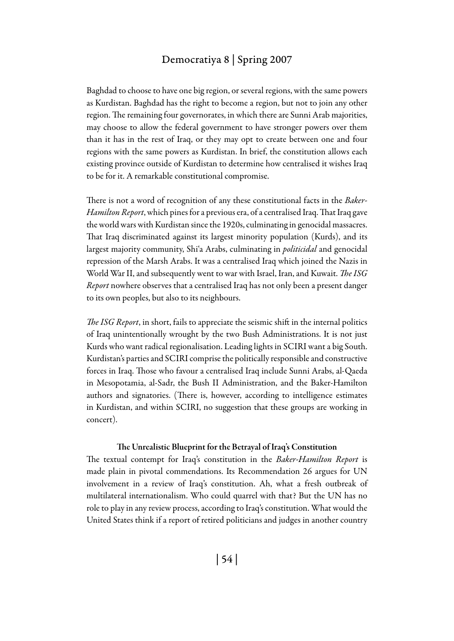Baghdad to choose to have one big region, or several regions, with the same powers as Kurdistan. Baghdad has the right to become a region, but not to join any other region. The remaining four governorates, in which there are Sunni Arab majorities, may choose to allow the federal government to have stronger powers over them than it has in the rest of Iraq, or they may opt to create between one and four regions with the same powers as Kurdistan. In brief, the constitution allows each existing province outside of Kurdistan to determine how centralised it wishes Iraq to be for it. A remarkable constitutional compromise.

There is not a word of recognition of any these constitutional facts in the *Baker-Hamilton Report*, which pines for a previous era, of a centralised Iraq. That Iraq gave the world wars with Kurdistan since the 1920s, culminating in genocidal massacres. That Iraq discriminated against its largest minority population (Kurds), and its largest majority community, Shi'a Arabs, culminating in *politicidal* and genocidal repression of the Marsh Arabs. It was a centralised Iraq which joined the Nazis in World War II, and subsequently went to war with Israel, Iran, and Kuwait. *The ISG Report* nowhere observes that a centralised Iraq has not only been a present danger to its own peoples, but also to its neighbours.

*The ISG Report*, in short, fails to appreciate the seismic shift in the internal politics of Iraq unintentionally wrought by the two Bush Administrations. It is not just Kurds who want radical regionalisation. Leading lights in SCIRI want a big South. Kurdistan's parties and SCIRI comprise the politically responsible and constructive forces in Iraq. Those who favour a centralised Iraq include Sunni Arabs, al-Qaeda in Mesopotamia, al-Sadr, the Bush II Administration, and the Baker-Hamilton authors and signatories. (There is, however, according to intelligence estimates in Kurdistan, and within SCIRI, no suggestion that these groups are working in concert).

#### The Unrealistic Blueprint for the Betrayal of Iraq's Constitution

The textual contempt for Iraq's constitution in the *Baker-Hamilton Report* is made plain in pivotal commendations. Its Recommendation 26 argues for UN involvement in a review of Iraq's constitution. Ah, what a fresh outbreak of multilateral internationalism. Who could quarrel with that? But the UN has no role to play in any review process, according to Iraq's constitution. What would the United States think if a report of retired politicians and judges in another country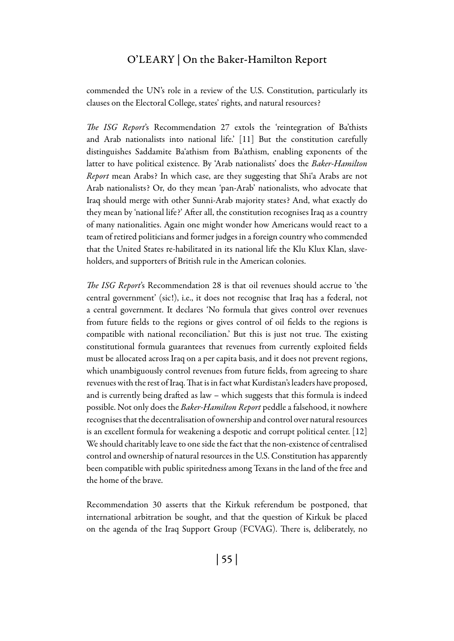commended the UN's role in a review of the U.S. Constitution, particularly its clauses on the Electoral College, states' rights, and natural resources?

*The ISG Report*'s Recommendation 27 extols the 'reintegration of Ba'thists and Arab nationalists into national life.' [11] But the constitution carefully distinguishes Saddamite Ba'athism from Ba'athism, enabling exponents of the latter to have political existence. By 'Arab nationalists' does the *Baker-Hamilton Report* mean Arabs? In which case, are they suggesting that Shi'a Arabs are not Arab nationalists? Or, do they mean 'pan-Arab' nationalists, who advocate that Iraq should merge with other Sunni-Arab majority states? And, what exactly do they mean by 'national life?' After all, the constitution recognises Iraq as a country of many nationalities. Again one might wonder how Americans would react to a team of retired politicians and former judges in a foreign country who commended that the United States re-habilitated in its national life the Klu Klux Klan, slaveholders, and supporters of British rule in the American colonies.

*The ISG Report*'s Recommendation 28 is that oil revenues should accrue to 'the central government' (sic!), i.e., it does not recognise that Iraq has a federal, not a central government. It declares 'No formula that gives control over revenues from future fields to the regions or gives control of oil fields to the regions is compatible with national reconciliation.' But this is just not true. The existing constitutional formula guarantees that revenues from currently exploited fields must be allocated across Iraq on a per capita basis, and it does not prevent regions, which unambiguously control revenues from future fields, from agreeing to share revenues with the rest of Iraq. That is in fact what Kurdistan's leaders have proposed, and is currently being drafted as law – which suggests that this formula is indeed possible. Not only does the *Baker-Hamilton Report* peddle a falsehood, it nowhere recognises that the decentralisation of ownership and control over natural resources is an excellent formula for weakening a despotic and corrupt political center. [12] We should charitably leave to one side the fact that the non-existence of centralised control and ownership of natural resources in the U.S. Constitution has apparently been compatible with public spiritedness among Texans in the land of the free and the home of the brave.

Recommendation 30 asserts that the Kirkuk referendum be postponed, that international arbitration be sought, and that the question of Kirkuk be placed on the agenda of the Iraq Support Group (FCVAG). There is, deliberately, no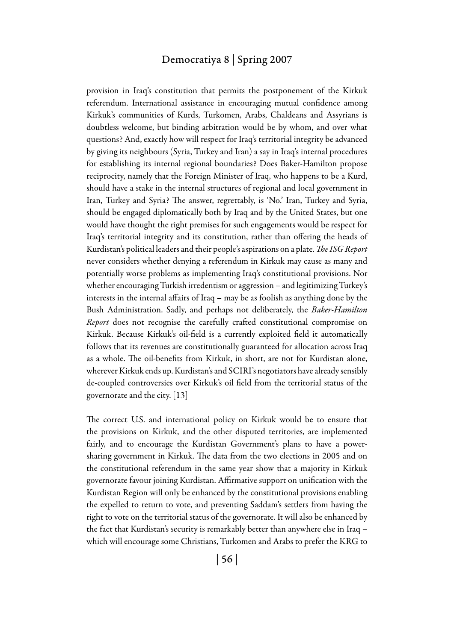provision in Iraq's constitution that permits the postponement of the Kirkuk referendum. International assistance in encouraging mutual confidence among Kirkuk's communities of Kurds, Turkomen, Arabs, Chaldeans and Assyrians is doubtless welcome, but binding arbitration would be by whom, and over what questions? And, exactly how will respect for Iraq's territorial integrity be advanced by giving its neighbours (Syria, Turkey and Iran) a say in Iraq's internal procedures for establishing its internal regional boundaries? Does Baker-Hamilton propose reciprocity, namely that the Foreign Minister of Iraq, who happens to be a Kurd, should have a stake in the internal structures of regional and local government in Iran, Turkey and Syria? The answer, regrettably, is 'No.' Iran, Turkey and Syria, should be engaged diplomatically both by Iraq and by the United States, but one would have thought the right premises for such engagements would be respect for Iraq's territorial integrity and its constitution, rather than offering the heads of Kurdistan's political leaders and their people's aspirations on a plate. *The ISG Report* never considers whether denying a referendum in Kirkuk may cause as many and potentially worse problems as implementing Iraq's constitutional provisions. Nor whether encouraging Turkish irredentism or aggression – and legitimizing Turkey's interests in the internal affairs of Iraq – may be as foolish as anything done by the Bush Administration. Sadly, and perhaps not deliberately, the *Baker-Hamilton Report* does not recognise the carefully crafted constitutional compromise on Kirkuk. Because Kirkuk's oil-field is a currently exploited field it automatically follows that its revenues are constitutionally guaranteed for allocation across Iraq as a whole. The oil-benefits from Kirkuk, in short, are not for Kurdistan alone, wherever Kirkuk ends up. Kurdistan's and SCIRI's negotiators have already sensibly de-coupled controversies over Kirkuk's oil field from the territorial status of the governorate and the city. [13]

The correct U.S. and international policy on Kirkuk would be to ensure that the provisions on Kirkuk, and the other disputed territories, are implemented fairly, and to encourage the Kurdistan Government's plans to have a powersharing government in Kirkuk. The data from the two elections in 2005 and on the constitutional referendum in the same year show that a majority in Kirkuk governorate favour joining Kurdistan. Affirmative support on unification with the Kurdistan Region will only be enhanced by the constitutional provisions enabling the expelled to return to vote, and preventing Saddam's settlers from having the right to vote on the territorial status of the governorate. It will also be enhanced by the fact that Kurdistan's security is remarkably better than anywhere else in Iraq – which will encourage some Christians, Turkomen and Arabs to prefer the KRG to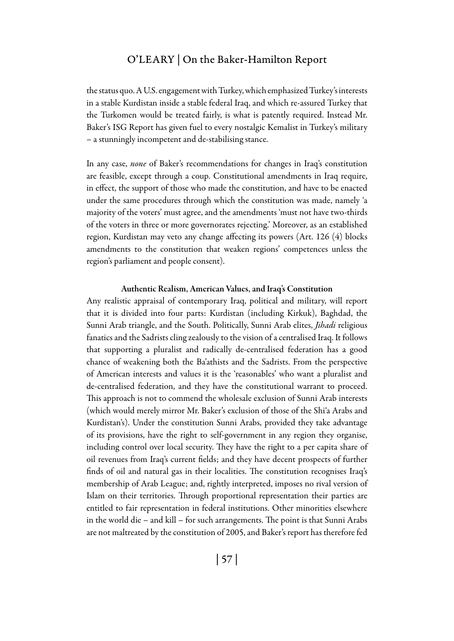the status quo. A U.S. engagement with Turkey, which emphasized Turkey's interests in a stable Kurdistan inside a stable federal Iraq, and which re-assured Turkey that the Turkomen would be treated fairly, is what is patently required. Instead Mr. Baker's ISG Report has given fuel to every nostalgic Kemalist in Turkey's military – a stunningly incompetent and de-stabilising stance.

In any case, *none* of Baker's recommendations for changes in Iraq's constitution are feasible, except through a coup. Constitutional amendments in Iraq require, in effect, the support of those who made the constitution, and have to be enacted under the same procedures through which the constitution was made, namely 'a majority of the voters' must agree, and the amendments 'must not have two-thirds of the voters in three or more governorates rejecting.' Moreover, as an established region, Kurdistan may veto any change affecting its powers (Art. 126 (4) blocks amendments to the constitution that weaken regions' competences unless the region's parliament and people consent).

#### Authentic Realism, American Values, and Iraq's Constitution

Any realistic appraisal of contemporary Iraq, political and military, will report that it is divided into four parts: Kurdistan (including Kirkuk), Baghdad, the Sunni Arab triangle, and the South. Politically, Sunni Arab elites, *Jihadi* religious fanatics and the Sadrists cling zealously to the vision of a centralised Iraq. It follows that supporting a pluralist and radically de-centralised federation has a good chance of weakening both the Ba'athists and the Sadrists. From the perspective of American interests and values it is the 'reasonables' who want a pluralist and de-centralised federation, and they have the constitutional warrant to proceed. This approach is not to commend the wholesale exclusion of Sunni Arab interests (which would merely mirror Mr. Baker's exclusion of those of the Shi'a Arabs and Kurdistan's). Under the constitution Sunni Arabs, provided they take advantage of its provisions, have the right to self-government in any region they organise, including control over local security. They have the right to a per capita share of oil revenues from Iraq's current fields; and they have decent prospects of further finds of oil and natural gas in their localities. The constitution recognises Iraq's membership of Arab League; and, rightly interpreted, imposes no rival version of Islam on their territories. Through proportional representation their parties are entitled to fair representation in federal institutions. Other minorities elsewhere in the world die – and kill – for such arrangements. The point is that Sunni Arabs are not maltreated by the constitution of 2005, and Baker's report has therefore fed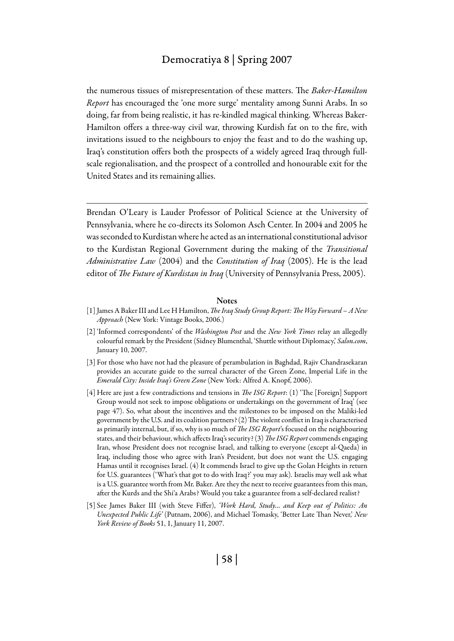the numerous tissues of misrepresentation of these matters. The *Baker-Hamilton Report* has encouraged the 'one more surge' mentality among Sunni Arabs. In so doing, far from being realistic, it has re-kindled magical thinking. Whereas Baker-Hamilton offers a three-way civil war, throwing Kurdish fat on to the fire, with invitations issued to the neighbours to enjoy the feast and to do the washing up, Iraq's constitution offers both the prospects of a widely agreed Iraq through fullscale regionalisation, and the prospect of a controlled and honourable exit for the United States and its remaining allies.

Brendan O'Leary is Lauder Professor of Political Science at the University of Pennsylvania, where he co-directs its Solomon Asch Center. In 2004 and 2005 he was seconded to Kurdistan where he acted as an international constitutional advisor to the Kurdistan Regional Government during the making of the *Transitional Administrative Law* (2004) and the *Constitution of Iraq* (2005). He is the lead editor of *The Future of Kurdistan in Iraq* (University of Pennsylvania Press, 2005).

#### **Notes**

- [1] James A Baker III and Lee H Hamilton, *The Iraq Study Group Report: The Way Forward A New Approach* (New York: Vintage Books, 2006.)
- [2] 'Informed correspondents' of the *Washington Post* and the *New York Times* relay an allegedly colourful remark by the President (Sidney Blumenthal, 'Shuttle without Diplomacy,' *Salon.com*, January 10, 2007.
- [3] For those who have not had the pleasure of perambulation in Baghdad, Rajiv Chandrasekaran provides an accurate guide to the surreal character of the Green Zone, Imperial Life in the *Emerald City: Inside Iraq's Green Zone* (New York: Alfred A. Knopf, 2006).
- [4] Here are just a few contradictions and tensions in *The ISG Report*: (1) 'The [Foreign] Support Group would not seek to impose obligations or undertakings on the government of Iraq' (see page 47). So, what about the incentives and the milestones to be imposed on the Maliki-led government by the U.S. and its coalition partners? (2) The violent conflict in Iraq is characterised as primarily internal, but, if so, why is so much of *The ISG Report*'s focused on the neighbouring states, and their behaviour, which affects Iraq's security? (3) *The ISG Report* commends engaging Iran, whose President does not recognise Israel, and talking to everyone (except al-Qaeda) in Iraq, including those who agree with Iran's President, but does not want the U.S. engaging Hamas until it recognises Israel. (4) It commends Israel to give up the Golan Heights in return for U.S. guarantees ('What's that got to do with Iraq?' you may ask). Israelis may well ask what is a U.S. guarantee worth from Mr. Baker. Are they the next to receive guarantees from this man, after the Kurds and the Shi'a Arabs? Would you take a guarantee from a self-declared realist?
- [5] See James Baker III (with Steve Fiffer), *'Work Hard, Study… and Keep out of Politics: An Unexpected Public Life'* (Putnam, 2006), and Michael Tomasky, 'Better Late Than Never,' *New York Review of Books* 51, 1, January 11, 2007.